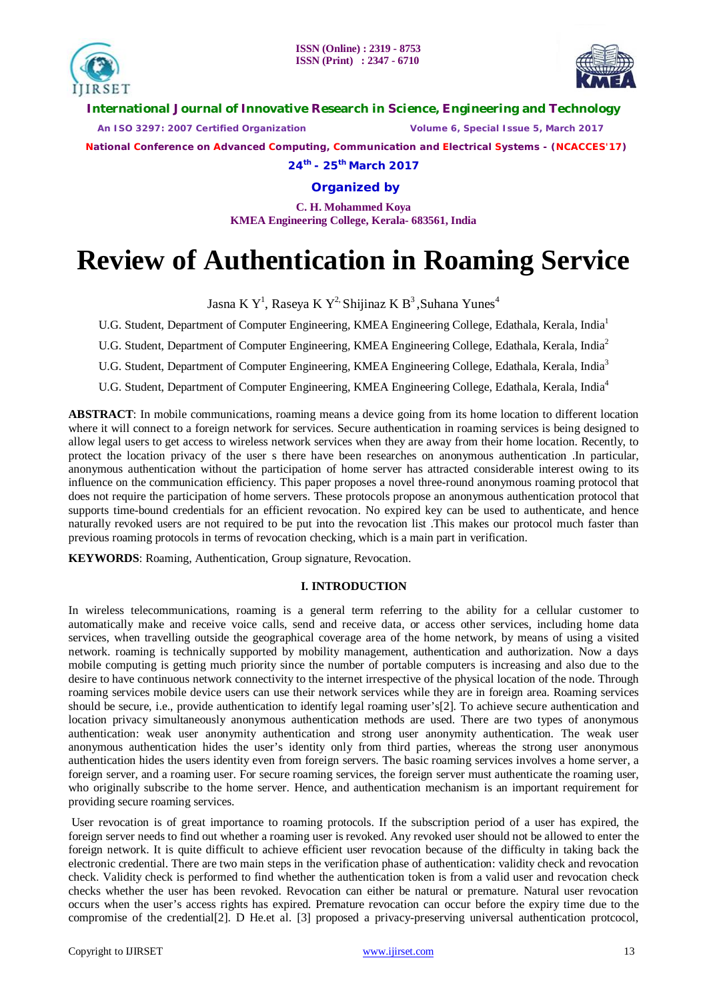

**International Journal of Innovative Research in Science, Engineering and Technology**

 *An ISO 3297: 2007 Certified Organization Volume 6, Special Issue 5, March 2017*

 **National Conference on Advanced Computing, Communication and Electrical Systems - (NCACCES'17)**

**24th - 25th March 2017**

**Organized by**

**C. H. Mohammed Koya KMEA Engineering College, Kerala- 683561, India** 

# **Review of Authentication in Roaming Service**

Jasna K $Y^1$ , Raseya K $Y^2$ . Shijinaz K $B^3$ , Suhana Yunes $^4$ 

U.G. Student, Department of Computer Engineering, KMEA Engineering College, Edathala, Kerala, India<sup>1</sup>

U.G. Student, Department of Computer Engineering, KMEA Engineering College, Edathala, Kerala, India<sup>2</sup>

U.G. Student, Department of Computer Engineering, KMEA Engineering College, Edathala, Kerala, India<sup>3</sup>

U.G. Student, Department of Computer Engineering, KMEA Engineering College, Edathala, Kerala, India<sup>4</sup>

**ABSTRACT**: In mobile communications, roaming means a device going from its home location to different location where it will connect to a foreign network for services. Secure authentication in roaming services is being designed to allow legal users to get access to wireless network services when they are away from their home location. Recently, to protect the location privacy of the user s there have been researches on anonymous authentication .In particular, anonymous authentication without the participation of home server has attracted considerable interest owing to its influence on the communication efficiency. This paper proposes a novel three-round anonymous roaming protocol that does not require the participation of home servers. These protocols propose an anonymous authentication protocol that supports time-bound credentials for an efficient revocation. No expired key can be used to authenticate, and hence naturally revoked users are not required to be put into the revocation list .This makes our protocol much faster than previous roaming protocols in terms of revocation checking, which is a main part in verification.

**KEYWORDS**: Roaming, Authentication, Group signature, Revocation.

### **I. INTRODUCTION**

In wireless telecommunications, roaming is a general term referring to the ability for a cellular customer to automatically make and receive voice calls, send and receive data, or access other services, including home data services, when travelling outside the geographical coverage area of the home network, by means of using a visited network. roaming is technically supported by mobility management, authentication and authorization. Now a days mobile computing is getting much priority since the number of portable computers is increasing and also due to the desire to have continuous network connectivity to the internet irrespective of the physical location of the node. Through roaming services mobile device users can use their network services while they are in foreign area. Roaming services should be secure, i.e., provide authentication to identify legal roaming user's[2]. To achieve secure authentication and location privacy simultaneously anonymous authentication methods are used. There are two types of anonymous authentication: weak user anonymity authentication and strong user anonymity authentication. The weak user anonymous authentication hides the user's identity only from third parties, whereas the strong user anonymous authentication hides the users identity even from foreign servers. The basic roaming services involves a home server, a foreign server, and a roaming user. For secure roaming services, the foreign server must authenticate the roaming user, who originally subscribe to the home server. Hence, and authentication mechanism is an important requirement for providing secure roaming services.

User revocation is of great importance to roaming protocols. If the subscription period of a user has expired, the foreign server needs to find out whether a roaming user is revoked. Any revoked user should not be allowed to enter the foreign network. It is quite difficult to achieve efficient user revocation because of the difficulty in taking back the electronic credential. There are two main steps in the verification phase of authentication: validity check and revocation check. Validity check is performed to find whether the authentication token is from a valid user and revocation check checks whether the user has been revoked. Revocation can either be natural or premature. Natural user revocation occurs when the user's access rights has expired. Premature revocation can occur before the expiry time due to the compromise of the credential[2]. D He.et al. [3] proposed a privacy-preserving universal authentication protcocol,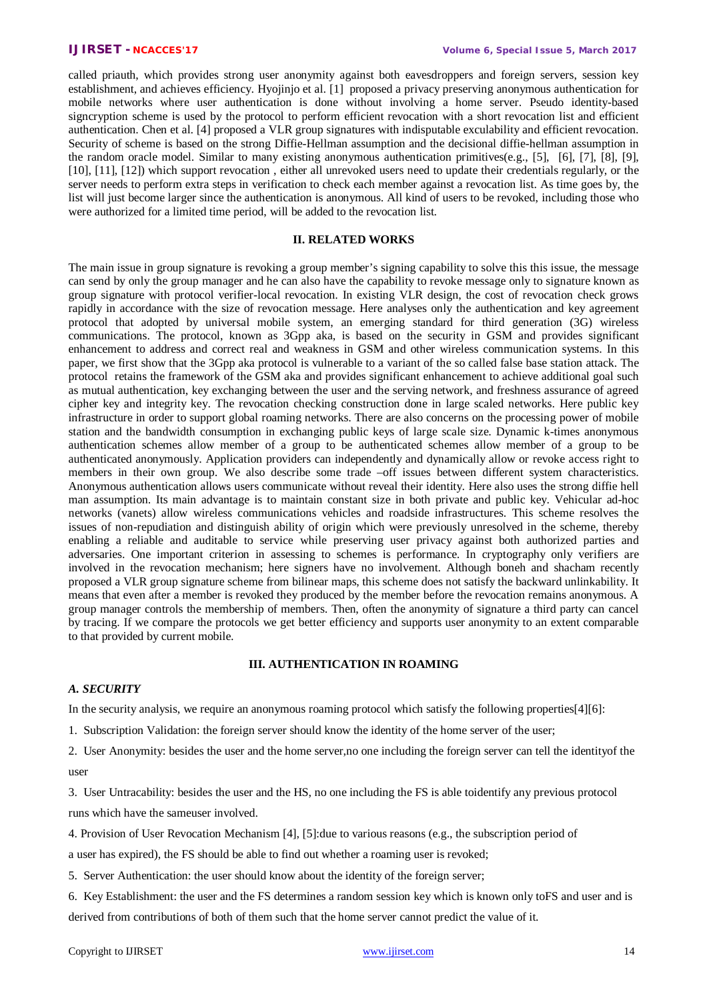called priauth, which provides strong user anonymity against both eavesdroppers and foreign servers, session key establishment, and achieves efficiency. Hyojinjo et al. [1] proposed a privacy preserving anonymous authentication for mobile networks where user authentication is done without involving a home server. Pseudo identity-based signcryption scheme is used by the protocol to perform efficient revocation with a short revocation list and efficient authentication. Chen et al. [4] proposed a VLR group signatures with indisputable exculability and efficient revocation. Security of scheme is based on the strong Diffie-Hellman assumption and the decisional diffie-hellman assumption in the random oracle model. Similar to many existing anonymous authentication primitives(e.g., [5], [6], [7], [8], [9], [10], [11], [12]) which support revocation, either all unrevoked users need to update their credentials regularly, or the server needs to perform extra steps in verification to check each member against a revocation list. As time goes by, the list will just become larger since the authentication is anonymous. All kind of users to be revoked, including those who were authorized for a limited time period, will be added to the revocation list.

### **II. RELATED WORKS**

The main issue in group signature is revoking a group member's signing capability to solve this this issue, the message can send by only the group manager and he can also have the capability to revoke message only to signature known as group signature with protocol verifier-local revocation. In existing VLR design, the cost of revocation check grows rapidly in accordance with the size of revocation message. Here analyses only the authentication and key agreement protocol that adopted by universal mobile system, an emerging standard for third generation (3G) wireless communications. The protocol, known as 3Gpp aka, is based on the security in GSM and provides significant enhancement to address and correct real and weakness in GSM and other wireless communication systems. In this paper, we first show that the 3Gpp aka protocol is vulnerable to a variant of the so called false base station attack. The protocol retains the framework of the GSM aka and provides significant enhancement to achieve additional goal such as mutual authentication, key exchanging between the user and the serving network, and freshness assurance of agreed cipher key and integrity key. The revocation checking construction done in large scaled networks. Here public key infrastructure in order to support global roaming networks. There are also concerns on the processing power of mobile station and the bandwidth consumption in exchanging public keys of large scale size. Dynamic k-times anonymous authentication schemes allow member of a group to be authenticated schemes allow member of a group to be authenticated anonymously. Application providers can independently and dynamically allow or revoke access right to members in their own group. We also describe some trade –off issues between different system characteristics. Anonymous authentication allows users communicate without reveal their identity. Here also uses the strong diffie hell man assumption. Its main advantage is to maintain constant size in both private and public key. Vehicular ad-hoc networks (vanets) allow wireless communications vehicles and roadside infrastructures. This scheme resolves the issues of non-repudiation and distinguish ability of origin which were previously unresolved in the scheme, thereby enabling a reliable and auditable to service while preserving user privacy against both authorized parties and adversaries. One important criterion in assessing to schemes is performance. In cryptography only verifiers are involved in the revocation mechanism; here signers have no involvement. Although boneh and shacham recently proposed a VLR group signature scheme from bilinear maps, this scheme does not satisfy the backward unlinkability. It means that even after a member is revoked they produced by the member before the revocation remains anonymous. A group manager controls the membership of members. Then, often the anonymity of signature a third party can cancel by tracing. If we compare the protocols we get better efficiency and supports user anonymity to an extent comparable to that provided by current mobile.

### **III. AUTHENTICATION IN ROAMING**

### *A. SECURITY*

In the security analysis, we require an anonymous roaming protocol which satisfy the following properties[4][6]:

1. Subscription Validation: the foreign server should know the identity of the home server of the user;

2. User Anonymity: besides the user and the home server,no one including the foreign server can tell the identityof the user

3. User Untracability: besides the user and the HS, no one including the FS is able toidentify any previous protocol runs which have the sameuser involved.

4. Provision of User Revocation Mechanism [4], [5]:due to various reasons (e.g., the subscription period of

a user has expired), the FS should be able to find out whether a roaming user is revoked;

5. Server Authentication: the user should know about the identity of the foreign server;

6. Key Establishment: the user and the FS determines a random session key which is known only toFS and user and is derived from contributions of both of them such that the home server cannot predict the value of it.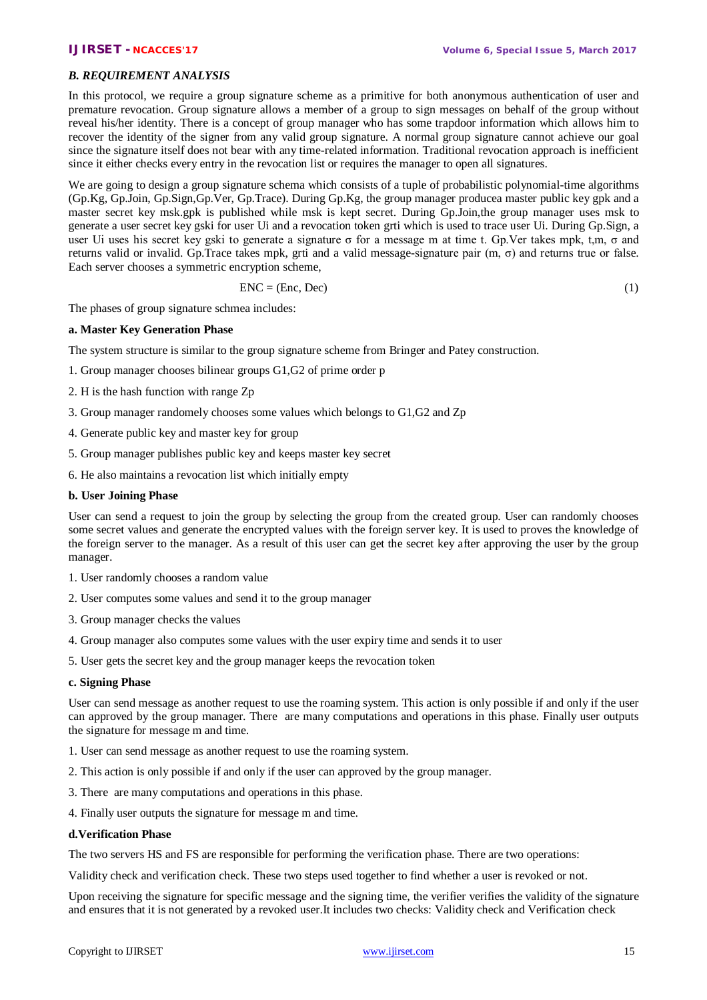## *B. REQUIREMENT ANALYSIS*

In this protocol, we require a group signature scheme as a primitive for both anonymous authentication of user and premature revocation. Group signature allows a member of a group to sign messages on behalf of the group without reveal his/her identity. There is a concept of group manager who has some trapdoor information which allows him to recover the identity of the signer from any valid group signature. A normal group signature cannot achieve our goal since the signature itself does not bear with any time-related information. Traditional revocation approach is inefficient since it either checks every entry in the revocation list or requires the manager to open all signatures.

We are going to design a group signature schema which consists of a tuple of probabilistic polynomial-time algorithms (Gp.Kg, Gp.Join, Gp.Sign,Gp.Ver, Gp.Trace). During Gp.Kg, the group manager producea master public key gpk and a master secret key msk.gpk is published while msk is kept secret. During Gp.Join,the group manager uses msk to generate a user secret key gski for user Ui and a revocation token grti which is used to trace user Ui. During Gp.Sign, a user Ui uses his secret key gski to generate a signature  $\sigma$  for a message m at time t. Gp.Ver takes mpk, t,m,  $\sigma$  and returns valid or invalid. Gp.Trace takes mpk, grti and a valid message-signature pair (m, σ) and returns true or false. Each server chooses a symmetric encryption scheme,

$$
ENC = (Enc, Dec)
$$
 (1)

The phases of group signature schmea includes:

## **a. Master Key Generation Phase**

The system structure is similar to the group signature scheme from Bringer and Patey construction.

- 1. Group manager chooses bilinear groups G1,G2 of prime order p
- 2. H is the hash function with range Zp
- 3. Group manager randomely chooses some values which belongs to G1,G2 and Zp
- 4. Generate public key and master key for group
- 5. Group manager publishes public key and keeps master key secret
- 6. He also maintains a revocation list which initially empty

### **b. User Joining Phase**

User can send a request to join the group by selecting the group from the created group. User can randomly chooses some secret values and generate the encrypted values with the foreign server key. It is used to proves the knowledge of the foreign server to the manager. As a result of this user can get the secret key after approving the user by the group manager.

- 1. User randomly chooses a random value
- 2. User computes some values and send it to the group manager
- 3. Group manager checks the values
- 4. Group manager also computes some values with the user expiry time and sends it to user
- 5. User gets the secret key and the group manager keeps the revocation token

### **c. Signing Phase**

User can send message as another request to use the roaming system. This action is only possible if and only if the user can approved by the group manager. There are many computations and operations in this phase. Finally user outputs the signature for message m and time.

- 1. User can send message as another request to use the roaming system.
- 2. This action is only possible if and only if the user can approved by the group manager.
- 3. There are many computations and operations in this phase.
- 4. Finally user outputs the signature for message m and time.

# **d.Verification Phase**

The two servers HS and FS are responsible for performing the verification phase. There are two operations:

Validity check and verification check. These two steps used together to find whether a user is revoked or not.

Upon receiving the signature for specific message and the signing time, the verifier verifies the validity of the signature and ensures that it is not generated by a revoked user.It includes two checks: Validity check and Verification check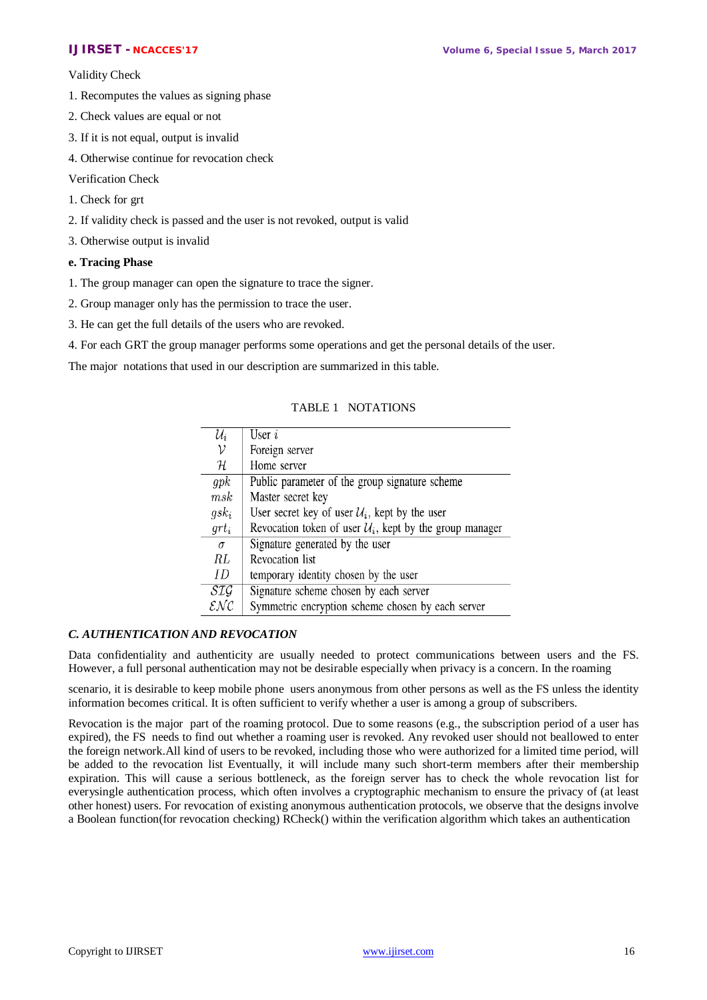Validity Check

- 1. Recomputes the values as signing phase
- 2. Check values are equal or not
- 3. If it is not equal, output is invalid
- 4. Otherwise continue for revocation check

### Verification Check

- 1. Check for grt
- 2. If validity check is passed and the user is not revoked, output is valid
- 3. Otherwise output is invalid

### **e. Tracing Phase**

- 1. The group manager can open the signature to trace the signer.
- 2. Group manager only has the permission to trace the user.
- 3. He can get the full details of the users who are revoked.
- 4. For each GRT the group manager performs some operations and get the personal details of the user.

The major notations that used in our description are summarized in this table.

### TABLE 1 NOTATIONS

| $\mathcal{U}_i$                     | User $i$                                                             |
|-------------------------------------|----------------------------------------------------------------------|
| ν                                   | Foreign server                                                       |
| ${\cal H}$                          | Home server                                                          |
| qpk                                 | Public parameter of the group signature scheme                       |
| msk                                 | Master secret key                                                    |
| $g s k_i$                           | User secret key of user $\mathcal{U}_i$ , kept by the user           |
| $grt_i$                             | Revocation token of user $\mathcal{U}_i$ , kept by the group manager |
| $\sigma$                            | Signature generated by the user                                      |
| RL                                  | <b>Revocation</b> list                                               |
| ID.                                 | temporary identity chosen by the user                                |
| SIG                                 | Signature scheme chosen by each server                               |
| $\mathcal{E}\mathcal{N}\mathcal{C}$ | Symmetric encryption scheme chosen by each server                    |

### *C. AUTHENTICATION AND REVOCATION*

Data confidentiality and authenticity are usually needed to protect communications between users and the FS. However, a full personal authentication may not be desirable especially when privacy is a concern. In the roaming

scenario, it is desirable to keep mobile phone users anonymous from other persons as well as the FS unless the identity information becomes critical. It is often sufficient to verify whether a user is among a group of subscribers.

Revocation is the major part of the roaming protocol. Due to some reasons (e.g., the subscription period of a user has expired), the FS needs to find out whether a roaming user is revoked. Any revoked user should not beallowed to enter the foreign network.All kind of users to be revoked, including those who were authorized for a limited time period, will be added to the revocation list Eventually, it will include many such short-term members after their membership expiration. This will cause a serious bottleneck, as the foreign server has to check the whole revocation list for everysingle authentication process, which often involves a cryptographic mechanism to ensure the privacy of (at least other honest) users. For revocation of existing anonymous authentication protocols, we observe that the designs involve a Boolean function(for revocation checking) RCheck() within the verification algorithm which takes an authentication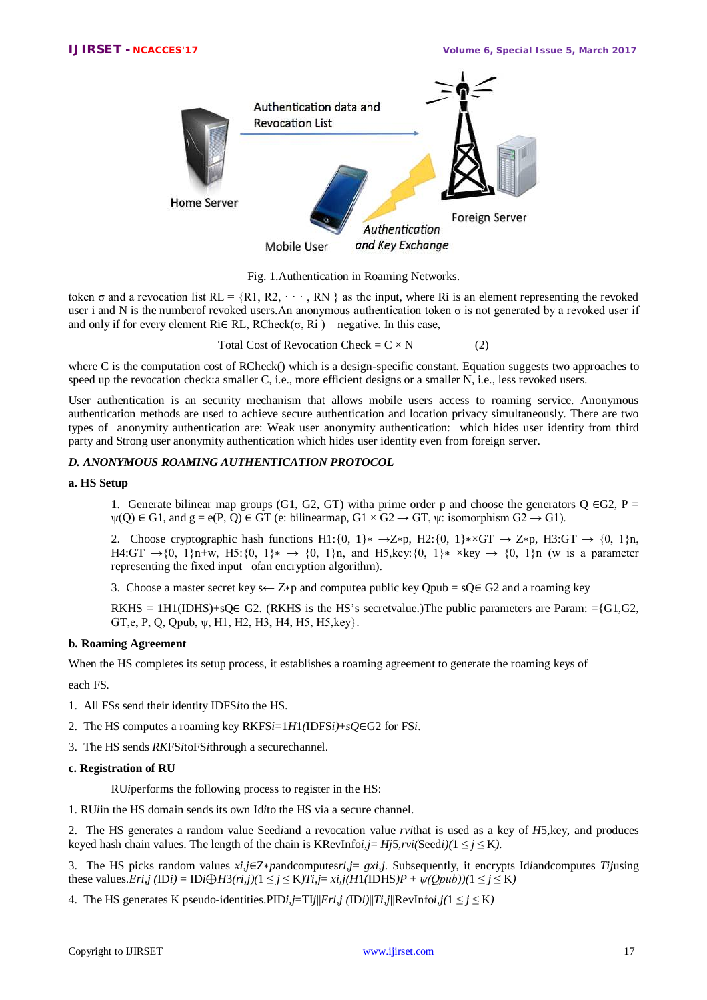

Fig. 1.Authentication in Roaming Networks.

token  $\sigma$  and a revocation list  $RL = \{R1, R2, \dots, RN\}$  as the input, where Ri is an element representing the revoked user i and N is the numberof revoked users.An anonymous authentication token σ is not generated by a revoked user if and only if for every element Ri $\in$  RL, RCheck( $\sigma$ , Ri ) = negative. In this case,

Total Cost of Revocation Check =  $C \times N$  (2)

where C is the computation cost of RCheck() which is a design-specific constant. Equation suggests two approaches to speed up the revocation check:a smaller C, i.e., more efficient designs or a smaller N, i.e., less revoked users.

User authentication is an security mechanism that allows mobile users access to roaming service. Anonymous authentication methods are used to achieve secure authentication and location privacy simultaneously. There are two types of anonymity authentication are: Weak user anonymity authentication: which hides user identity from third party and Strong user anonymity authentication which hides user identity even from foreign server.

### *D. ANONYMOUS ROAMING AUTHENTICATION PROTOCOL*

### **a. HS Setup**

1. Generate bilinear map groups (G1, G2, GT) witha prime order p and choose the generators Q  $\epsilon$ G2, P =  $\psi(Q) \in G1$ , and  $g = e(P, Q) \in GT$  (e: bilinearmap,  $G1 \times G2 \rightarrow GT$ ,  $\psi$ : isomorphism  $G2 \rightarrow G1$ ).

2. Choose cryptographic hash functions H1:{0, 1}∗ →Z\*p, H2:{0, 1}∗×GT → Z\*p, H3:GT → {0, 1}n, H4:GT →{0, 1}n+w, H5:{0, 1}\* → {0, 1}n, and H5,key:{0, 1}\* ×key → {0, 1}n (w is a parameter representing the fixed input ofan encryption algorithm).

3. Choose a master secret key s← Z\*p and computea public key Qpub =  $sQ \in G2$  and a roaming key

RKHS = 1H1(IDHS)+sQ $\in$  G2. (RKHS is the HS's secretvalue.)The public parameters are Param: ={G1,G2, GT, e, P, Q, Qpub,  $\psi$ , H1, H2, H3, H4, H5, H5, key}.

### **b. Roaming Agreement**

When the HS completes its setup process, it establishes a roaming agreement to generate the roaming keys of

each FS.

- 1. All FSs send their identity IDFS*i*to the HS.
- 2. The HS computes a roaming key RKFS*i*=1*H*1*(*IDFS*i)*+*sQ*∈G2 for FS*i*.
- 3. The HS sends *RK*FS*i*toFS*i*through a securechannel.

### **c. Registration of RU**

RU*i*performs the following process to register in the HS:

1. RU*i*in the HS domain sends its own Id*i*to the HS via a secure channel.

2. The HS generates a random value Seed*i*and a revocation value *rvi*that is used as a key of *H*5*,*key, and produces keyed hash chain values. The length of the chain is KRevInfoi,  $j= Hj5$ ,  $rvi(\text{Seedi})(1 \leq j \leq K)$ .

3. The HS picks random values *xi,j*∈Z∗*p*andcomputes*ri,j*= *gxi,j*. Subsequently, it encrypts Id*i*andcomputes *Tij*using these values.*Eri,j* (ID*i*) = ID*i* $\bigoplus$ *H*3(*ri,j*)(1 ≤ *j* ≤ K)*Ti,j*= *xi,j*(*H*1(IDHS)*P* +  $\psi$ (*Qpub*))(1 ≤ *j* ≤ K)

4. The HS generates K pseudo-identities. PID*i*,  $j=TI/||Eri,j|$  (ID*i*) $||Ti,j||$ RevInfo*i*,  $j(1 \le j \le K)$